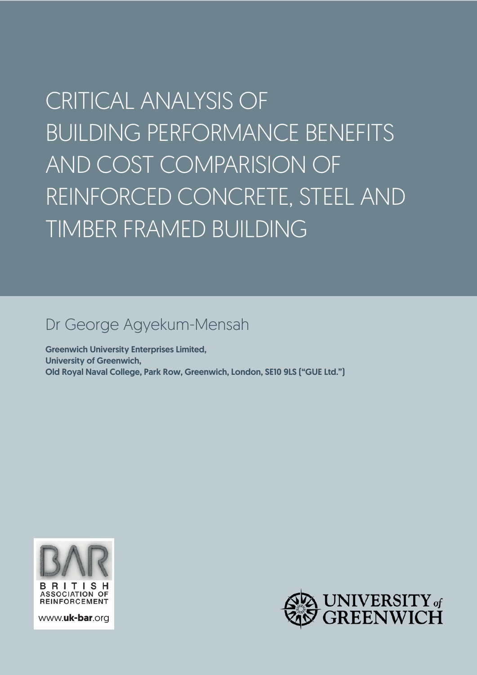CRITICAL ANALYSIS OF BUILDING PERFORMANCE BENEFITS AND COST COMPARISION OF REINFORCED CONCRETE, STEEL AND TIMBER FRAMED BUILDING

# Dr George Agyekum-Mensah

Greenwich University Enterprises Limited, University of Greenwich, Old Royal Naval College, Park Row, Greenwich, London, SE10 9LS ("GUE Ltd.")



www.**uk-bar**.org

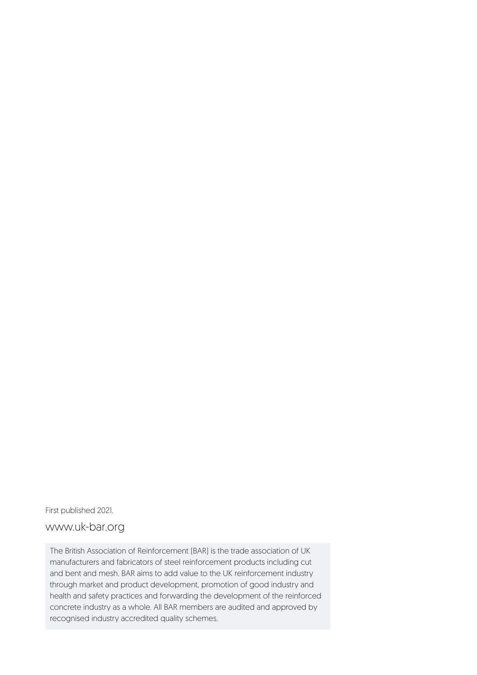First published 2021.

## www.uk-bar.org

The British Association of Reinforcement (BAR) is the trade association of UK manufacturers and fabricators of steel reinforcement products including cut and bent and mesh. BAR aims to add value to the UK reinforcement industry through market and product development, promotion of good industry and health and safety practices and forwarding the development of the reinforced concrete industry as a whole. All BAR members are audited and approved by recognised industry accredited quality schemes.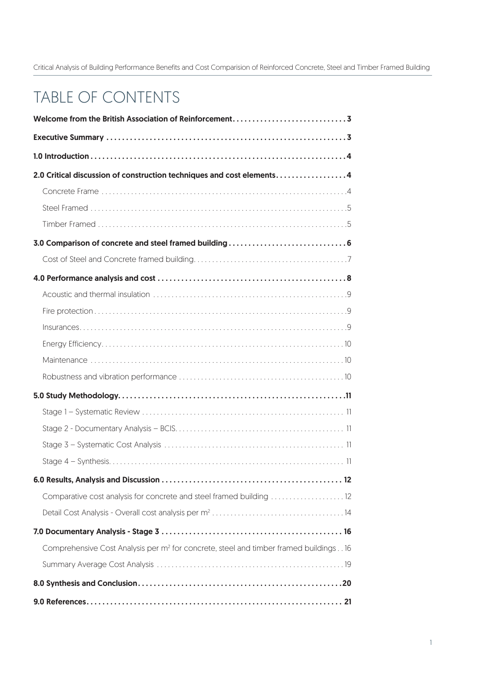# TABLE OF CONTENTS

| 2.0 Critical discussion of construction techniques and cost elements4                            |
|--------------------------------------------------------------------------------------------------|
|                                                                                                  |
|                                                                                                  |
|                                                                                                  |
|                                                                                                  |
|                                                                                                  |
|                                                                                                  |
|                                                                                                  |
|                                                                                                  |
|                                                                                                  |
|                                                                                                  |
|                                                                                                  |
|                                                                                                  |
|                                                                                                  |
|                                                                                                  |
|                                                                                                  |
|                                                                                                  |
|                                                                                                  |
|                                                                                                  |
|                                                                                                  |
|                                                                                                  |
|                                                                                                  |
| Comprehensive Cost Analysis per m <sup>2</sup> for concrete, steel and timber framed buildings16 |
|                                                                                                  |
|                                                                                                  |
|                                                                                                  |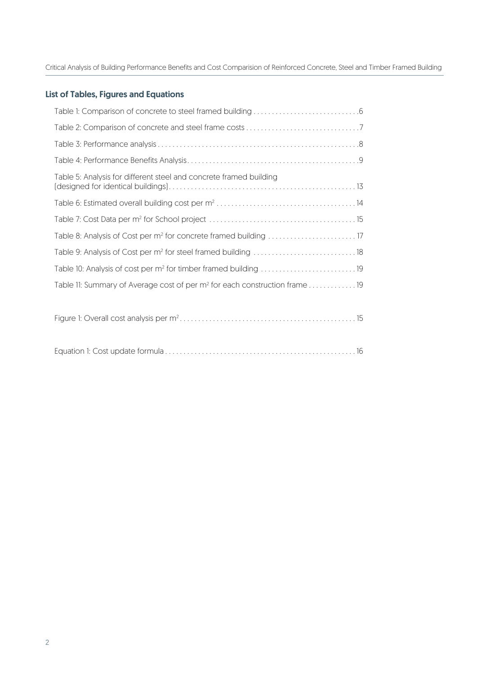## List of Tables, Figures and Equations

| Table 5: Analysis for different steel and concrete framed building                    |
|---------------------------------------------------------------------------------------|
|                                                                                       |
|                                                                                       |
|                                                                                       |
|                                                                                       |
| Table 10: Analysis of cost per m <sup>2</sup> for timber framed building 19           |
| Table 11: Summary of Average cost of per m <sup>2</sup> for each construction frame19 |
|                                                                                       |
|                                                                                       |

|--|--|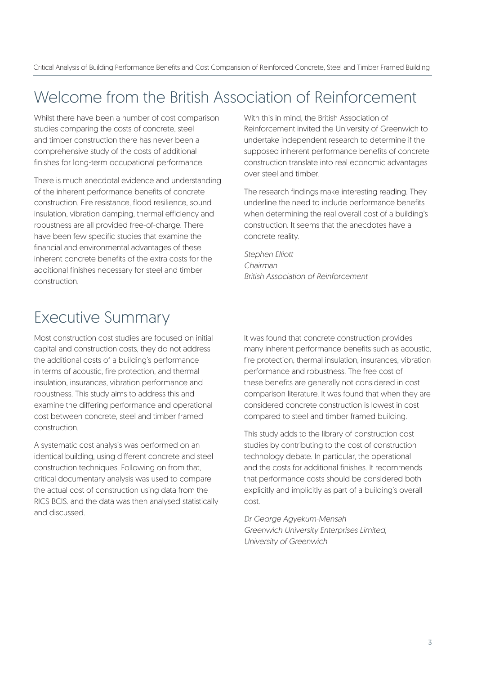# Welcome from the British Association of Reinforcement

Whilst there have been a number of cost comparison studies comparing the costs of concrete, steel and timber construction there has never been a comprehensive study of the costs of additional finishes for long-term occupational performance.

There is much anecdotal evidence and understanding of the inherent performance benefits of concrete construction. Fire resistance, flood resilience, sound insulation, vibration damping, thermal efficiency and robustness are all provided free-of-charge. There have been few specific studies that examine the financial and environmental advantages of these inherent concrete benefits of the extra costs for the additional finishes necessary for steel and timber construction.

## Executive Summary

Most construction cost studies are focused on initial capital and construction costs, they do not address the additional costs of a building's performance in terms of acoustic, fire protection, and thermal insulation, insurances, vibration performance and robustness. This study aims to address this and examine the differing performance and operational cost between concrete, steel and timber framed construction.

A systematic cost analysis was performed on an identical building, using different concrete and steel construction techniques. Following on from that, critical documentary analysis was used to compare the actual cost of construction using data from the RICS BCIS. and the data was then analysed statistically and discussed.

With this in mind, the British Association of Reinforcement invited the University of Greenwich to undertake independent research to determine if the supposed inherent performance benefits of concrete construction translate into real economic advantages over steel and timber.

The research findings make interesting reading. They underline the need to include performance benefits when determining the real overall cost of a building's construction. It seems that the anecdotes have a concrete reality.

*Stephen Elliott Chairman British Association of Reinforcement*

It was found that concrete construction provides many inherent performance benefits such as acoustic, fire protection, thermal insulation, insurances, vibration performance and robustness. The free cost of these benefits are generally not considered in cost comparison literature. It was found that when they are considered concrete construction is lowest in cost compared to steel and timber framed building.

This study adds to the library of construction cost studies by contributing to the cost of construction technology debate. In particular, the operational and the costs for additional finishes. It recommends that performance costs should be considered both explicitly and implicitly as part of a building's overall cost.

*Dr George Agyekum-Mensah Greenwich University Enterprises Limited, University of Greenwich*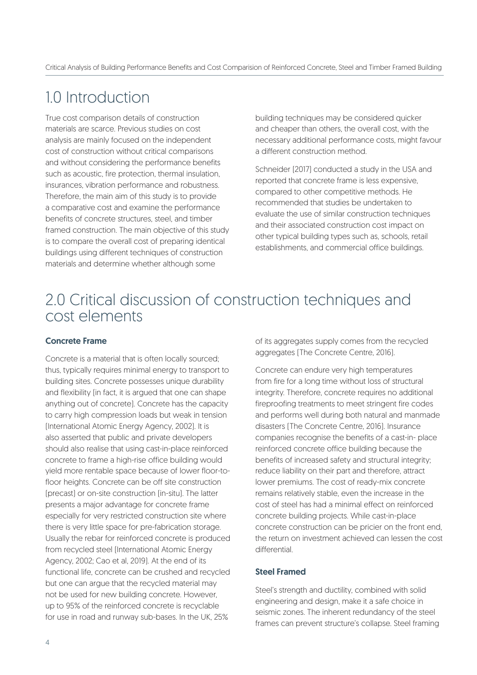## 1.0 Introduction

True cost comparison details of construction materials are scarce. Previous studies on cost analysis are mainly focused on the independent cost of construction without critical comparisons and without considering the performance benefits such as acoustic, fire protection, thermal insulation, insurances, vibration performance and robustness. Therefore, the main aim of this study is to provide a comparative cost and examine the performance benefits of concrete structures, steel, and timber framed construction. The main objective of this study is to compare the overall cost of preparing identical buildings using different techniques of construction materials and determine whether although some

building techniques may be considered quicker and cheaper than others, the overall cost, with the necessary additional performance costs, might favour a different construction method.

Schneider (2017) conducted a study in the USA and reported that concrete frame is less expensive, compared to other competitive methods. He recommended that studies be undertaken to evaluate the use of similar construction techniques and their associated construction cost impact on other typical building types such as, schools, retail establishments, and commercial office buildings.

## 2.0 Critical discussion of construction techniques and cost elements

#### Concrete Frame

Concrete is a material that is often locally sourced; thus, typically requires minimal energy to transport to building sites. Concrete possesses unique durability and flexibility (in fact, it is argued that one can shape anything out of concrete). Concrete has the capacity to carry high compression loads but weak in tension (International Atomic Energy Agency, 2002). It is also asserted that public and private developers should also realise that using cast-in-place reinforced concrete to frame a high-rise office building would yield more rentable space because of lower floor-tofloor heights. Concrete can be off site construction (precast) or on-site construction (in-situ). The latter presents a major advantage for concrete frame especially for very restricted construction site where there is very little space for pre-fabrication storage. Usually the rebar for reinforced concrete is produced from recycled steel (International Atomic Energy Agency, 2002; Cao et al, 2019). At the end of its functional life, concrete can be crushed and recycled but one can argue that the recycled material may not be used for new building concrete. However, up to 95% of the reinforced concrete is recyclable for use in road and runway sub-bases. In the UK, 25%

of its aggregates supply comes from the recycled aggregates (The Concrete Centre, 2016).

Concrete can endure very high temperatures from fire for a long time without loss of structural integrity. Therefore, concrete requires no additional fireproofing treatments to meet stringent fire codes and performs well during both natural and manmade disasters (The Concrete Centre, 2016). Insurance companies recognise the benefits of a cast-in- place reinforced concrete office building because the benefits of increased safety and structural integrity; reduce liability on their part and therefore, attract lower premiums. The cost of ready-mix concrete remains relatively stable, even the increase in the cost of steel has had a minimal effect on reinforced concrete building projects. While cast-in-place concrete construction can be pricier on the front end, the return on investment achieved can lessen the cost differential.

#### Steel Framed

Steel's strength and ductility, combined with solid engineering and design, make it a safe choice in seismic zones. The inherent redundancy of the steel frames can prevent structure's collapse. Steel framing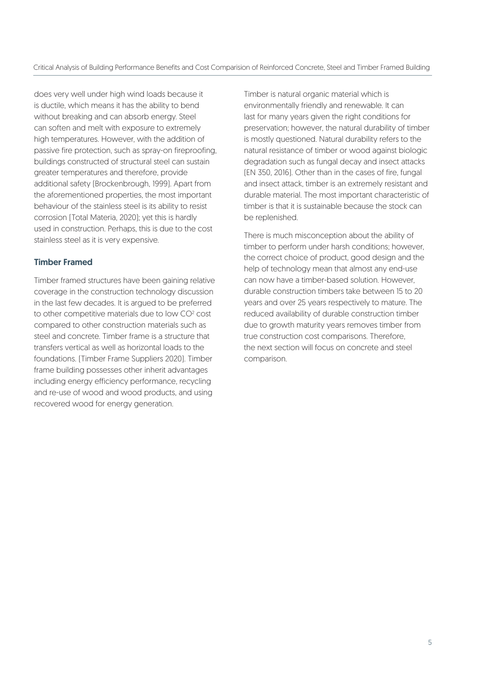does very well under high wind loads because it is ductile, which means it has the ability to bend without breaking and can absorb energy. Steel can soften and melt with exposure to extremely high temperatures. However, with the addition of passive fire protection, such as spray-on fireproofing, buildings constructed of structural steel can sustain greater temperatures and therefore, provide additional safety (Brockenbrough, 1999). Apart from the aforementioned properties, the most important behaviour of the stainless steel is its ability to resist corrosion (Total Materia, 2020); yet this is hardly used in construction. Perhaps, this is due to the cost stainless steel as it is very expensive.

#### Timber Framed

Timber framed structures have been gaining relative coverage in the construction technology discussion in the last few decades. It is argued to be preferred to other competitive materials due to low  $CO<sup>2</sup>$  cost compared to other construction materials such as steel and concrete. Timber frame is a structure that transfers vertical as well as horizontal loads to the foundations. (Timber Frame Suppliers 2020). Timber frame building possesses other inherit advantages including energy efficiency performance, recycling and re-use of wood and wood products, and using recovered wood for energy generation.

Timber is natural organic material which is environmentally friendly and renewable. It can last for many years given the right conditions for preservation; however, the natural durability of timber is mostly questioned. Natural durability refers to the natural resistance of timber or wood against biologic degradation such as fungal decay and insect attacks (EN 350, 2016). Other than in the cases of fire, fungal and insect attack, timber is an extremely resistant and durable material. The most important characteristic of timber is that it is sustainable because the stock can be replenished.

There is much misconception about the ability of timber to perform under harsh conditions; however, the correct choice of product, good design and the help of technology mean that almost any end-use can now have a timber-based solution. However, durable construction timbers take between 15 to 20 years and over 25 years respectively to mature. The reduced availability of durable construction timber due to growth maturity years removes timber from true construction cost comparisons. Therefore, the next section will focus on concrete and steel comparison.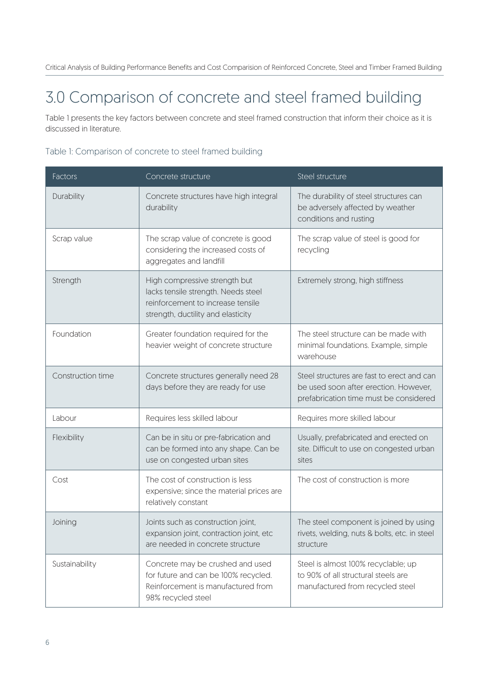# 3.0 Comparison of concrete and steel framed building

Table 1 presents the key factors between concrete and steel framed construction that inform their choice as it is discussed in literature.

### Table 1: Comparison of concrete to steel framed building

| Factors           | Concrete structure                                                                                                                              | Steel structure                                                                                                               |
|-------------------|-------------------------------------------------------------------------------------------------------------------------------------------------|-------------------------------------------------------------------------------------------------------------------------------|
| Durability        | Concrete structures have high integral<br>durability                                                                                            | The durability of steel structures can<br>be adversely affected by weather<br>conditions and rusting                          |
| Scrap value       | The scrap value of concrete is good<br>considering the increased costs of<br>aggregates and landfill                                            | The scrap value of steel is good for<br>recycling                                                                             |
| Strength          | High compressive strength but<br>lacks tensile strength. Needs steel<br>reinforcement to increase tensile<br>strength, ductility and elasticity | Extremely strong, high stiffness                                                                                              |
| Foundation        | Greater foundation required for the<br>heavier weight of concrete structure                                                                     | The steel structure can be made with<br>minimal foundations. Example, simple<br>warehouse                                     |
| Construction time | Concrete structures generally need 28<br>days before they are ready for use                                                                     | Steel structures are fast to erect and can<br>be used soon after erection. However,<br>prefabrication time must be considered |
| Labour            | Requires less skilled labour                                                                                                                    | Requires more skilled labour                                                                                                  |
| Flexibility       | Can be in situ or pre-fabrication and<br>can be formed into any shape. Can be<br>use on congested urban sites                                   | Usually, prefabricated and erected on<br>site. Difficult to use on congested urban<br>sites                                   |
| Cost              | The cost of construction is less<br>expensive; since the material prices are<br>relatively constant                                             | The cost of construction is more                                                                                              |
| Joining           | Joints such as construction joint,<br>expansion joint, contraction joint, etc<br>are needed in concrete structure                               | The steel component is joined by using<br>rivets, welding, nuts & bolts, etc. in steel<br>structure                           |
| Sustainability    | Concrete may be crushed and used<br>for future and can be 100% recycled.<br>Reinforcement is manufactured from<br>98% recycled steel            | Steel is almost 100% recyclable; up<br>to 90% of all structural steels are<br>manufactured from recycled steel                |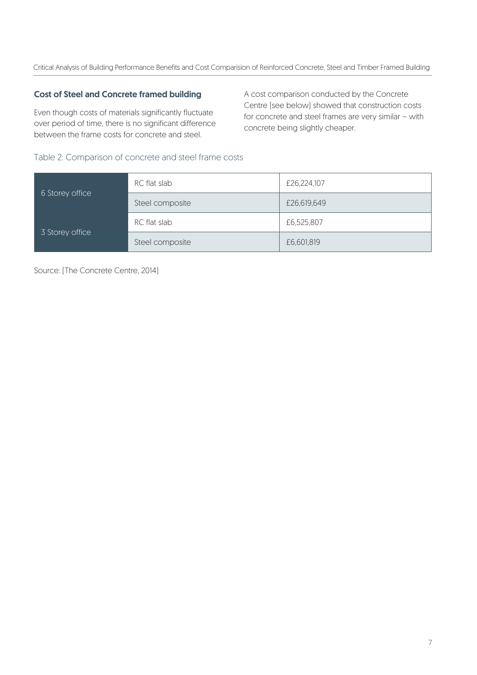### Cost of Steel and Concrete framed building

Even though costs of materials significantly fluctuate over period of time, there is no significant difference between the frame costs for concrete and steel.

A cost comparison conducted by the Concrete Centre (see below) showed that construction costs for concrete and steel frames are very similar – with concrete being slightly cheaper.

### Table 2: Comparison of concrete and steel frame costs

|                 | RC flat slab    | £26,224,107 |
|-----------------|-----------------|-------------|
| 6 Storey office | Steel composite | £26,619,649 |
|                 | RC flat slab    | £6,525,807  |
| 3 Storey office | Steel composite | £6,601,819  |

Source: (The Concrete Centre, 2014)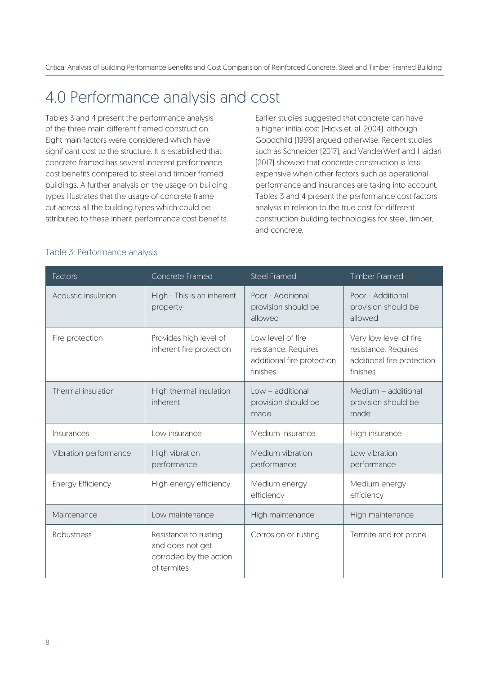# 4.0 Performance analysis and cost

Tables 3 and 4 present the performance analysis of the three main different framed construction. Eight main factors were considered which have significant cost to the structure. It is established that concrete framed has several inherent performance cost benefits compared to steel and timber framed buildings. A further analysis on the usage on building types illustrates that the usage of concrete frame cut across all the building types which could be attributed to these inherit performance cost benefits.

Earlier studies suggested that concrete can have a higher initial cost (Hicks et. al. 2004), although Goodchild (1993) argued otherwise. Recent studies such as Schneider (2017), and VanderWerf and Haidari (2017) showed that concrete construction is less expensive when other factors such as operational performance and insurances are taking into account. Tables 3 and 4 present the performance cost factors analysis in relation to the true cost for different construction building technologies for steel, timber, and concrete.

| Factors               | Concrete Framed                                                                    | <b>Steel Framed</b>                                                                 | <b>Timber Framed</b>                                                                     |
|-----------------------|------------------------------------------------------------------------------------|-------------------------------------------------------------------------------------|------------------------------------------------------------------------------------------|
| Acoustic insulation   | High - This is an inherent<br>property                                             | Poor - Additional<br>provision should be<br>allowed                                 | Poor - Additional<br>provision should be<br>allowed                                      |
| Fire protection       | Provides high level of<br>inherent fire protection                                 | Low level of fire<br>resistance. Requires<br>additional fire protection<br>finishes | Very low level of fire<br>resistance. Requires<br>additional fire protection<br>finishes |
| Thermal insulation    | High thermal insulation<br>inherent                                                | $Low - additional$<br>provision should be<br>made                                   | Medium - additional<br>provision should be<br>made                                       |
| Insurances            | Low insurance                                                                      | Medium Insurance                                                                    | High insurance                                                                           |
| Vibration performance | High vibration<br>performance                                                      | Medium vibration<br>performance                                                     | Low vibration<br>performance                                                             |
| Energy Efficiency     | High energy efficiency                                                             | Medium energy<br>efficiency                                                         | Medium energy<br>efficiency                                                              |
| Maintenance           | Low maintenance                                                                    | High maintenance                                                                    | High maintenance                                                                         |
| Robustness            | Resistance to rusting<br>and does not get<br>corroded by the action<br>of termites | Corrosion or rusting                                                                | Termite and rot prone                                                                    |

### Table 3: Performance analysis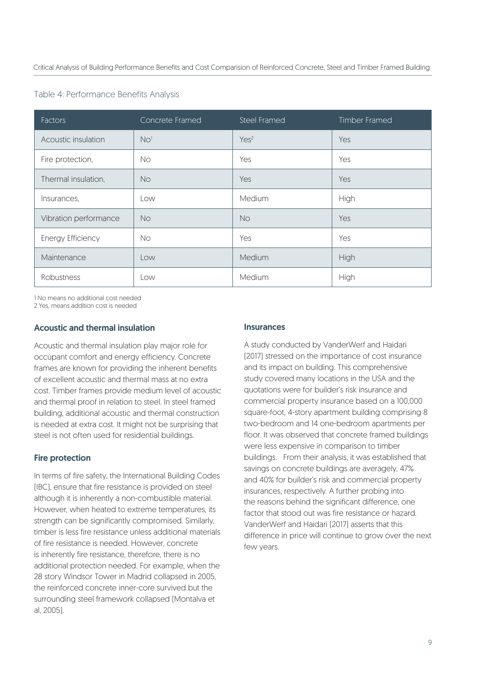| <b>Factors</b>        | Concrete Framed | <b>Steel Framed</b> | <b>Timber Framed</b> |
|-----------------------|-----------------|---------------------|----------------------|
| Acoustic insulation   | NO <sup>1</sup> | Yes <sup>2</sup>    | Yes                  |
| Fire protection,      | <b>No</b>       | Yes                 | Yes                  |
| Thermal insulation,   | <b>No</b>       | Yes                 | Yes                  |
| Insurances.           | Low             | Medium              | High                 |
| Vibration performance | <b>No</b>       | <b>No</b>           | Yes                  |
| Energy Efficiency     | No.             | Yes                 | Yes                  |
| Maintenance           | Low             | Medium              | High                 |
| Robustness            | Low             | Medium              | High                 |

1 No means no additional cost needed

2 Yes, means addition cost is needed

#### Acoustic and thermal insulation

Acoustic and thermal insulation play major role for occupant comfort and energy efficiency. Concrete frames are known for providing the inherent benefits of excellent acoustic and thermal mass at no extra cost. Timber frames provide medium level of acoustic and thermal proof in relation to steel. In steel framed building, additional acoustic and thermal construction is needed at extra cost. It might not be surprising that steel is not often used for residential buildings.

#### Fire protection

In terms of fire safety, the International Building Codes (IBC), ensure that fire resistance is provided on steel although it is inherently a non-combustible material. However, when heated to extreme temperatures, its strength can be significantly compromised. Similarly, timber is less fire resistance unless additional materials of fire resistance is needed. However, concrete is inherently fire resistance, therefore, there is no additional protection needed. For example, when the 28 story Windsor Tower in Madrid collapsed in 2005, the reinforced concrete inner-core survived but the surrounding steel framework collapsed (Montalva et al, 2005).

#### **Insurances**

A study conducted by VanderWerf and Haidari (2017) stressed on the importance of cost insurance and its impact on building. This comprehensive study covered many locations in the USA and the quotations were for builder's risk insurance and commercial property insurance based on a 100,000 square-foot, 4-story apartment building comprising 8 two-bedroom and 14 one-bedroom apartments per floor. It was observed that concrete framed buildings were less expensive in comparison to timber buildings. From their analysis, it was established that savings on concrete buildings are averagely, 47% and 40% for builder's risk and commercial property insurances, respectively. A further probing into the reasons behind the significant difference, one factor that stood out was fire resistance or hazard. VanderWerf and Haidari (2017) asserts that this difference in price will continue to grow over the next few years.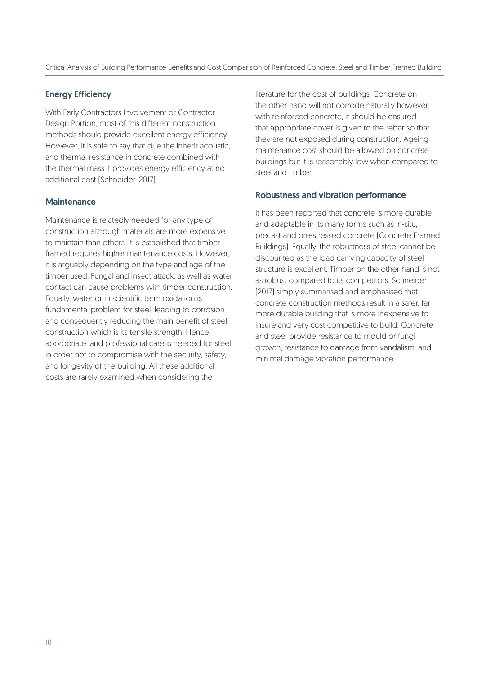#### Energy Efficiency

With Early Contractors Involvement or Contractor Design Portion, most of this different construction methods should provide excellent energy efficiency. However, it is safe to say that due the inherit acoustic, and thermal resistance in concrete combined with the thermal mass it provides energy efficiency at no additional cost (Schneider, 2017).

#### **Maintenance**

Maintenance is relatedly needed for any type of construction although materials are more expensive to maintain than others. It is established that timber framed requires higher maintenance costs. However, it is arguably depending on the type and age of the timber used. Fungal and insect attack, as well as water contact can cause problems with timber construction. Equally, water or in scientific term oxidation is fundamental problem for steel, leading to corrosion and consequently reducing the main benefit of steel construction which is its tensile strength. Hence, appropriate, and professional care is needed for steel in order not to compromise with the security, safety, and longevity of the building. All these additional costs are rarely examined when considering the

literature for the cost of buildings. Concrete on the other hand will not corrode naturally however, with reinforced concrete, it should be ensured that appropriate cover is given to the rebar so that they are not exposed during construction. Ageing maintenance cost should be allowed on concrete buildings but it is reasonably low when compared to steel and timber.

#### Robustness and vibration performance

It has been reported that concrete is more durable and adaptable in its many forms such as in-situ, precast and pre-stressed concrete (Concrete Framed Buildings). Equally, the robustness of steel cannot be discounted as the load carrying capacity of steel structure is excellent. Timber on the other hand is not as robust compared to its competitors. Schneider (2017) simply summarised and emphasised that concrete construction methods result in a safer, far more durable building that is more inexpensive to insure and very cost competitive to build. Concrete and steel provide resistance to mould or fungi growth, resistance to damage from vandalism, and minimal damage vibration performance.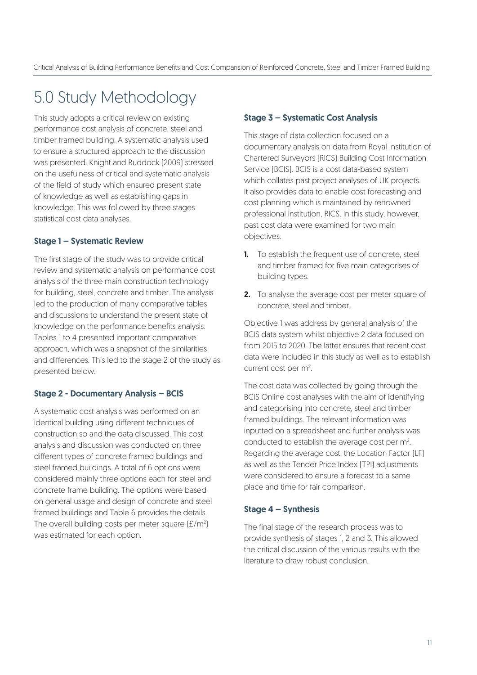# 5.0 Study Methodology

This study adopts a critical review on existing performance cost analysis of concrete, steel and timber framed building. A systematic analysis used to ensure a structured approach to the discussion was presented. Knight and Ruddock (2009) stressed on the usefulness of critical and systematic analysis of the field of study which ensured present state of knowledge as well as establishing gaps in knowledge. This was followed by three stages statistical cost data analyses.

#### Stage 1 – Systematic Review

The first stage of the study was to provide critical review and systematic analysis on performance cost analysis of the three main construction technology for building, steel, concrete and timber. The analysis led to the production of many comparative tables and discussions to understand the present state of knowledge on the performance benefits analysis. Tables 1 to 4 presented important comparative approach, which was a snapshot of the similarities and differences. This led to the stage 2 of the study as presented below.

#### Stage 2 - Documentary Analysis – BCIS

A systematic cost analysis was performed on an identical building using different techniques of construction so and the data discussed. This cost analysis and discussion was conducted on three different types of concrete framed buildings and steel framed buildings. A total of 6 options were considered mainly three options each for steel and concrete frame building. The options were based on general usage and design of concrete and steel framed buildings and Table 6 provides the details. The overall building costs per meter square  $(E/m<sup>2</sup>)$ was estimated for each option.

### Stage 3 – Systematic Cost Analysis

This stage of data collection focused on a documentary analysis on data from Royal Institution of Chartered Surveyors (RICS) Building Cost Information Service (BCIS). BCIS is a cost data-based system which collates past project analyses of UK projects. It also provides data to enable cost forecasting and cost planning which is maintained by renowned professional institution, RICS. In this study, however, past cost data were examined for two main objectives.

- 1. To establish the frequent use of concrete, steel and timber framed for five main categorises of building types.
- 2. To analyse the average cost per meter square of concrete, steel and timber.

Objective 1 was address by general analysis of the BCIS data system whilst objective 2 data focused on from 2015 to 2020. The latter ensures that recent cost data were included in this study as well as to establish current cost per m<sup>2</sup>.

The cost data was collected by going through the BCIS Online cost analyses with the aim of identifying and categorising into concrete, steel and timber framed buildings. The relevant information was inputted on a spreadsheet and further analysis was conducted to establish the average cost per m<sup>2</sup>. Regarding the average cost, the Location Factor (LF) as well as the Tender Price Index (TPI) adjustments were considered to ensure a forecast to a same place and time for fair comparison.

#### Stage 4 – Synthesis

The final stage of the research process was to provide synthesis of stages 1, 2 and 3. This allowed the critical discussion of the various results with the literature to draw robust conclusion.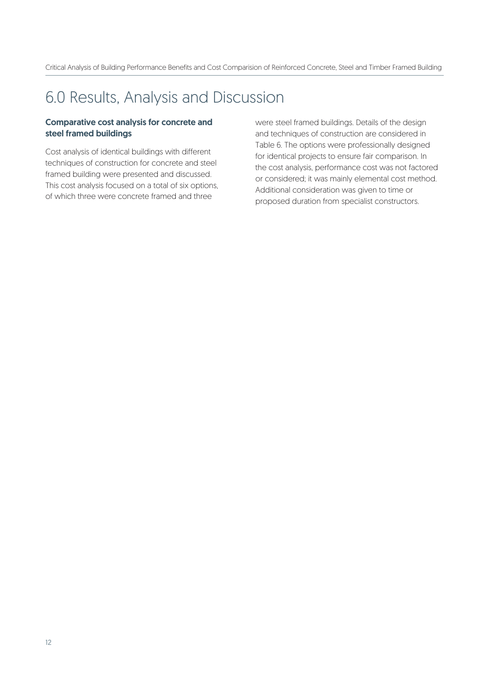# 6.0 Results, Analysis and Discussion

### Comparative cost analysis for concrete and steel framed buildings

Cost analysis of identical buildings with different techniques of construction for concrete and steel framed building were presented and discussed. This cost analysis focused on a total of six options, of which three were concrete framed and three

were steel framed buildings. Details of the design and techniques of construction are considered in Table 6. The options were professionally designed for identical projects to ensure fair comparison. In the cost analysis, performance cost was not factored or considered; it was mainly elemental cost method. Additional consideration was given to time or proposed duration from specialist constructors.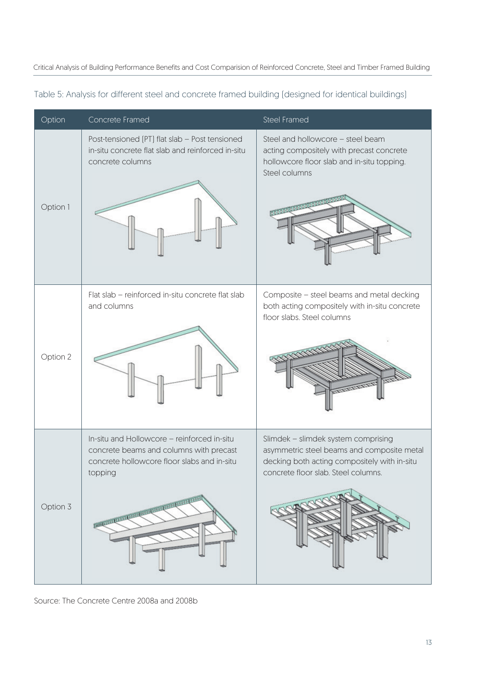

| Option   | Concrete Framed                                                                                                                                                                                                                                                           | <b>Steel Framed</b>                                                                                                                                                      |
|----------|---------------------------------------------------------------------------------------------------------------------------------------------------------------------------------------------------------------------------------------------------------------------------|--------------------------------------------------------------------------------------------------------------------------------------------------------------------------|
| Option 1 | Post-tensioned [PT] flat slab - Post tensioned<br>in-situ concrete flat slab and reinforced in-situ<br>concrete columns                                                                                                                                                   | Steel and hollowcore - steel beam<br>acting compositely with precast concrete<br>hollowcore floor slab and in-situ topping.<br>Steel columns<br>000000000000000000       |
| Option 2 | Flat slab - reinforced in-situ concrete flat slab<br>and columns                                                                                                                                                                                                          | Composite - steel beams and metal decking<br>both acting compositely with in-situ concrete<br>floor slabs. Steel columns                                                 |
| Option 3 | In-situ and Hollowcore - reinforced in-situ<br>concrete beams and columns with precast<br>concrete hollowcore floor slabs and in-situ<br>topping<br><b>EMPLOYEEE AND RESIDENCE OF A PARTICULAR DESCRIPTION OF A PARTICULAR DESCRIPTION OF A PARTICULAR DESCRIPTION OF</b> | Slimdek - slimdek system comprising<br>asymmetric steel beams and composite metal<br>decking both acting compositely with in-situ<br>concrete floor slab. Steel columns. |

Source: The Concrete Centre 2008a and 2008b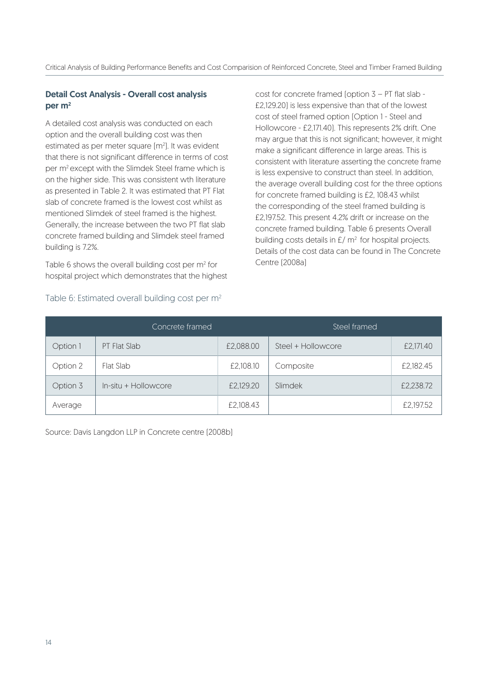### Detail Cost Analysis - Overall cost analysis per m<sup>2</sup>

A detailed cost analysis was conducted on each option and the overall building cost was then estimated as per meter square [m<sup>2</sup>]. It was evident that there is not significant difference in terms of cost per m2 except with the Slimdek Steel frame which is on the higher side. This was consistent wth literature as presented in Table 2. It was estimated that PT Flat slab of concrete framed is the lowest cost whilst as mentioned Slimdek of steel framed is the highest. Generally, the increase between the two PT flat slab concrete framed building and Slimdek steel framed building is 7.2%.

Table 6 shows the overall building cost per  $m<sup>2</sup>$  for hospital project which demonstrates that the highest

### Table 6: Estimated overall building cost per m<sup>2</sup>

cost for concrete framed (option 3 – PT flat slab - £2,129.20) is less expensive than that of the lowest cost of steel framed option (Option 1 - Steel and Hollowcore - £2,171.40). This represents 2% drift. One may argue that this is not significant; however, it might make a significant difference in large areas. This is consistent with literature asserting the concrete frame is less expensive to construct than steel. In addition, the average overall building cost for the three options for concrete framed building is £2, 108.43 whilst the corresponding of the steel framed building is £2,197.52. This present 4.2% drift or increase on the concrete framed building. Table 6 presents Overall building costs details in  $E/m^2$  for hospital projects. Details of the cost data can be found in The Concrete Centre (2008a)

|          | Concrete framed      |           | Steel framed       |           |
|----------|----------------------|-----------|--------------------|-----------|
| Option 1 | PT Flat Slab         | £2,088.00 | Steel + Hollowcore | £2,171.40 |
| Option 2 | Flat Slab            | £2,108.10 | Composite          | £2,182.45 |
| Option 3 | In-situ + Hollowcore | £2,129.20 | Slimdek            | £2,238.72 |
| Average  |                      | £2,108.43 |                    | £2,197.52 |

Source: Davis Langdon LLP in Concrete centre (2008b)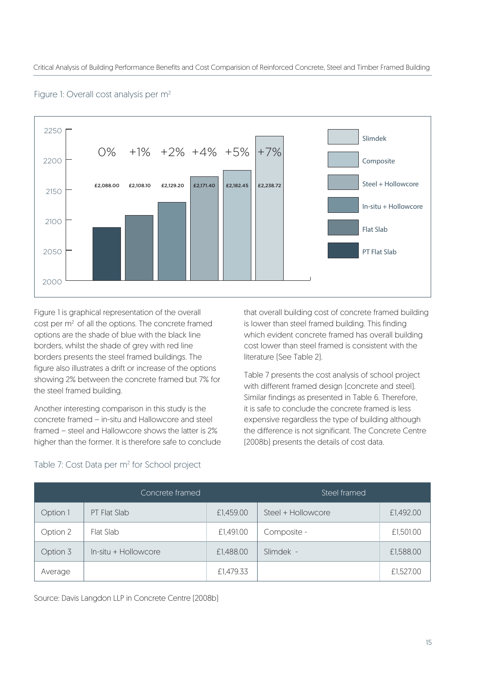

### Figure 1: Overall cost analysis per m<sup>2</sup>

Figure 1 is graphical representation of the overall cost per m<sup>2</sup> of all the options. The concrete framed options are the shade of blue with the black line borders, whilst the shade of grey with red line borders presents the steel framed buildings. The figure also illustrates a drift or increase of the options showing 2% between the concrete framed but 7% for the steel framed building.

Another interesting comparison in this study is the concrete framed – in-situ and Hallowcore and steel framed – steel and Hallowcore shows the latter is 2% higher than the former. It is therefore safe to conclude that overall building cost of concrete framed building is lower than steel framed building. This finding which evident concrete framed has overall building cost lower than steel framed is consistent with the literature (See Table 2).

Table 7 presents the cost analysis of school project with different framed design (concrete and steel). Similar findings as presented in Table 6. Therefore, it is safe to conclude the concrete framed is less expensive regardless the type of building although the difference is not significant. The Concrete Centre (2008b) presents the details of cost data.

|          | Concrete framed      |           | Steel framed       |           |
|----------|----------------------|-----------|--------------------|-----------|
| Option 1 | PT Flat Slab         | £1,459.00 | Steel + Hollowcore | £1,492.00 |
| Option 2 | Flat Slab            | £1,491.00 | Composite -        | £1,501.00 |
| Option 3 | In-situ + Hollowcore | £1,488.00 | Slimdek -          | £1,588.00 |
| Average  |                      | £1,479.33 |                    | £1,527.00 |

### Table 7: Cost Data per m<sup>2</sup> for School project

Source: Davis Langdon LLP in Concrete Centre (2008b)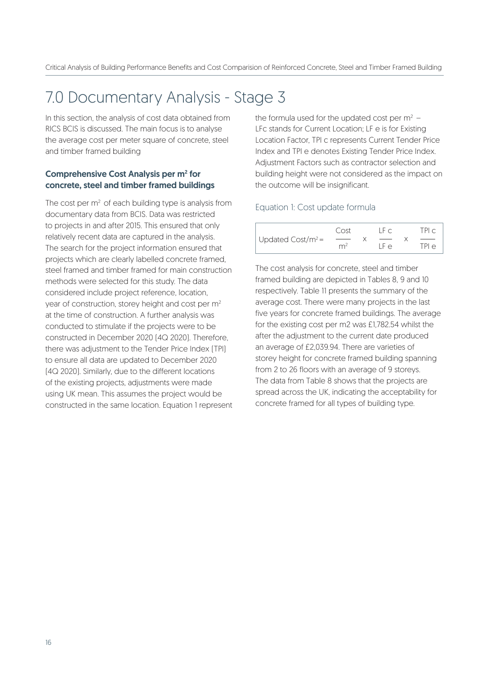# 7.0 Documentary Analysis - Stage 3

In this section, the analysis of cost data obtained from RICS BCIS is discussed. The main focus is to analyse the average cost per meter square of concrete, steel and timber framed building

### Comprehensive Cost Analysis per m<sup>2</sup> for concrete, steel and timber framed buildings

The cost per  $m<sup>2</sup>$  of each building type is analysis from documentary data from BCIS. Data was restricted to projects in and after 2015. This ensured that only relatively recent data are captured in the analysis. The search for the project information ensured that projects which are clearly labelled concrete framed, steel framed and timber framed for main construction methods were selected for this study. The data considered include project reference, location, year of construction, storey height and cost per m2 at the time of construction. A further analysis was conducted to stimulate if the projects were to be constructed in December 2020 (4Q 2020). Therefore, there was adjustment to the Tender Price Index (TPI) to ensure all data are updated to December 2020 (4Q 2020). Similarly, due to the different locations of the existing projects, adjustments were made using UK mean. This assumes the project would be constructed in the same location. Equation 1 represent

the formula used for the updated cost per  $m<sup>2</sup>$  -LFc stands for Current Location; LF e is for Existing Location Factor, TPI c represents Current Tender Price Index and TPI e denotes Existing Tender Price Index. Adjustment Factors such as contractor selection and building height were not considered as the impact on the outcome will be insignificant.

#### Equation 1: Cost update formula

| Cost           | IF C | TPI c. |
|----------------|------|--------|
| m <sup>2</sup> |      | TPI e  |
|                |      | ! F A  |

The cost analysis for concrete, steel and timber framed building are depicted in Tables 8, 9 and 10 respectively. Table 11 presents the summary of the average cost. There were many projects in the last five years for concrete framed buildings. The average for the existing cost per m2 was £1,782.54 whilst the after the adjustment to the current date produced an average of £2,039.94. There are varieties of storey height for concrete framed building spanning from 2 to 26 floors with an average of 9 storeys. The data from Table 8 shows that the projects are spread across the UK, indicating the acceptability for concrete framed for all types of building type.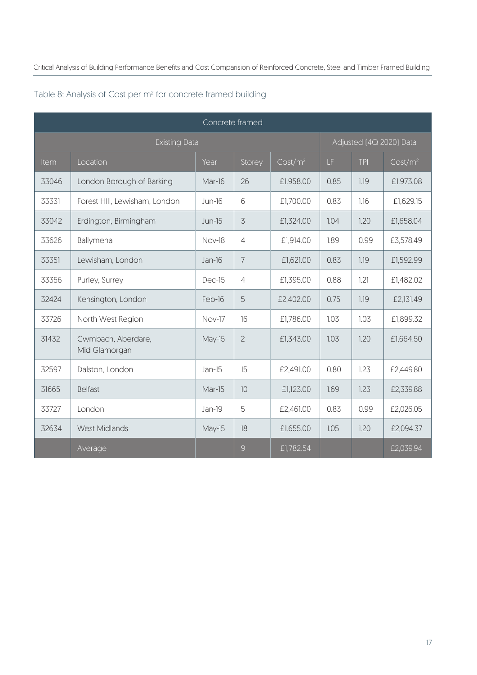| Concrete framed      |                                     |               |                |                     |                         |      |                     |
|----------------------|-------------------------------------|---------------|----------------|---------------------|-------------------------|------|---------------------|
| <b>Existing Data</b> |                                     |               |                |                     | Adjusted [4Q 2020] Data |      |                     |
| Item                 | Location                            | Year          | Storey         | Cost/m <sup>2</sup> | LF.                     | TPI  | Cost/m <sup>2</sup> |
| 33046                | London Borough of Barking           | Mar-16        | 26             | £1.958.00           | 0.85                    | 1.19 | £1.973.08           |
| 33331                | Forest HIII, Lewisham, London       | <b>Jun-16</b> | 6              | £1,700.00           | 0.83                    | 1.16 | £1,629.15           |
| 33042                | Erdington, Birmingham               | $Jun-15$      | 3              | £1,324.00           | 1.04                    | 1.20 | £1,658.04           |
| 33626                | Ballymena                           | <b>Nov-18</b> | $\overline{4}$ | £1,914.00           | 1.89                    | 0.99 | £3,578.49           |
| 33351                | Lewisham, London                    | Jan-16        | $\overline{7}$ | £1,621.00           | 0.83                    | 1.19 | £1,592.99           |
| 33356                | Purley, Surrey                      | Dec-15        | $\overline{4}$ | £1,395.00           | 0.88                    | 1.21 | £1,482.02           |
| 32424                | Kensington, London                  | Feb-16        | 5              | £2,402.00           | 0.75                    | 1.19 | £2,131.49           |
| 33726                | North West Region                   | Nov-17        | 16             | £1,786.00           | 1.03                    | 1.03 | £1,899.32           |
| 31432                | Cwmbach, Aberdare,<br>Mid Glamorgan | May-15        | $\overline{2}$ | £1,343.00           | 1.03                    | 1.20 | £1,664.50           |
| 32597                | Dalston, London                     | $Jan-15$      | 15             | £2,491.00           | 0.80                    | 1.23 | £2,449.80           |
| 31665                | <b>Belfast</b>                      | Mar-15        | 10             | £1,123.00           | 1.69                    | 1.23 | £2,339.88           |
| 33727                | London                              | Jan-19        | 5              | £2,461.00           | 0.83                    | 0.99 | £2,026.05           |
| 32634                | <b>West Midlands</b>                | May-15        | 18             | £1.655.00           | 1.05                    | 1.20 | £2,094.37           |
|                      | Average                             |               | $\overline{9}$ | £1,782.54           |                         |      | £2,039.94           |

## Table 8: Analysis of Cost per m<sup>2</sup> for concrete framed building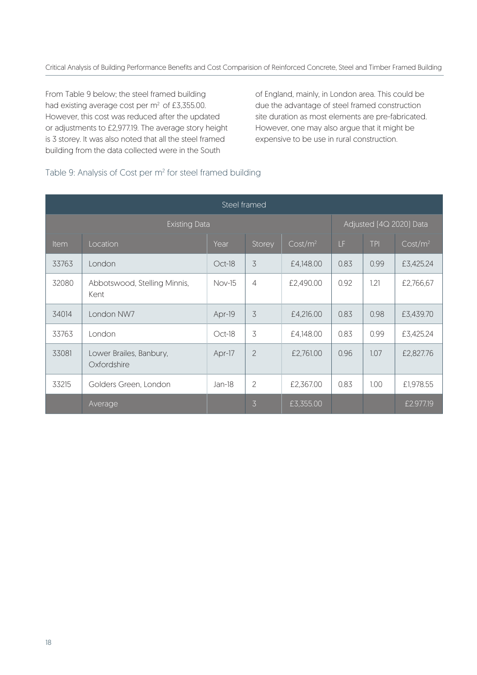From Table 9 below; the steel framed building had existing average cost per m<sup>2</sup> of £3,355.00. However, this cost was reduced after the updated or adjustments to £2,977.19. The average story height is 3 storey. It was also noted that all the steel framed building from the data collected were in the South

of England, mainly, in London area. This could be due the advantage of steel framed construction site duration as most elements are pre-fabricated. However, one may also argue that it might be expensive to be use in rural construction.

### Table 9: Analysis of Cost per m<sup>2</sup> for steel framed building

| Steel framed         |                                        |          |                |                     |      |                         |                     |  |
|----------------------|----------------------------------------|----------|----------------|---------------------|------|-------------------------|---------------------|--|
| <b>Existing Data</b> |                                        |          |                |                     |      | Adjusted [4Q 2020] Data |                     |  |
| Item                 | Location                               | Year     | Storey         | Cost/m <sup>2</sup> | LF   | <b>TPI</b>              | Cost/m <sup>2</sup> |  |
| 33763                | London                                 | Oct-18   | 3              | £4,148.00           | 0.83 | 0.99                    | £3,425.24           |  |
| 32080                | Abbotswood, Stelling Minnis,<br>Kent   | Nov-15   | $\overline{4}$ | £2,490.00           | 0.92 | 1.21                    | £2,766,67           |  |
| 34014                | London NW7                             | Apr-19   | 3              | £4,216.00           | 0.83 | 0.98                    | £3,439.70           |  |
| 33763                | London                                 | $Oct-18$ | 3              | £4,148.00           | 0.83 | 0.99                    | £3,425.24           |  |
| 33081                | Lower Brailes, Banbury,<br>Oxfordshire | Apr-17   | $\overline{2}$ | £2,761.00           | 0.96 | 1.07                    | £2,827.76           |  |
| 33215                | Golders Green, London                  | Jan-18   | $\overline{2}$ | £2,367.00           | 0.83 | 1.00                    | £1,978.55           |  |
|                      | Average                                |          | 3              | £3,355.00           |      |                         | £2.977.19           |  |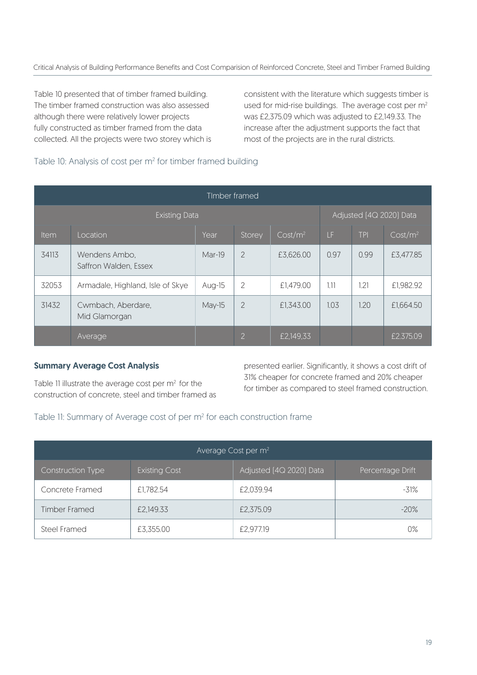Table 10 presented that of timber framed building. The timber framed construction was also assessed although there were relatively lower projects fully constructed as timber framed from the data collected. All the projects were two storey which is consistent with the literature which suggests timber is used for mid-rise buildings. The average cost per m<sup>2</sup> was £2,375.09 which was adjusted to £2,149.33. The increase after the adjustment supports the fact that most of the projects are in the rural districts.

## Table 10: Analysis of cost per  $m<sup>2</sup>$  for timber framed building

| TImber framed        |                                        |        |                |                     |                         |            |                     |
|----------------------|----------------------------------------|--------|----------------|---------------------|-------------------------|------------|---------------------|
| <b>Existing Data</b> |                                        |        |                |                     | Adjusted [4Q 2020] Data |            |                     |
| Item                 | Location                               | Year   | Storey         | Cost/m <sup>2</sup> | LF                      | <b>TPI</b> | Cost/m <sup>2</sup> |
| 34113                | Wendens Ambo,<br>Saffron Walden, Essex | Mar-19 | $\overline{2}$ | £3,626.00           | 0.97                    | 0.99       | £3,477.85           |
| 32053                | Armadale, Highland, Isle of Skye       | Aug-15 | 2              | £1,479.00           | 1.11                    | 1.21       | £1,982.92           |
| 31432                | Cwmbach, Aberdare,<br>Mid Glamorgan    | May-15 | $\overline{2}$ | £1,343.00           | 1.03                    | 1.20       | £1,664.50           |
|                      | Average                                |        | $\overline{2}$ | £2,149,33           |                         |            | £2.375.09           |

#### Summary Average Cost Analysis

Table 11 illustrate the average cost per m<sup>2</sup> for the construction of concrete, steel and timber framed as presented earlier. Significantly, it shows a cost drift of 31% cheaper for concrete framed and 20% cheaper for timber as compared to steel framed construction.

## Table 11: Summary of Average cost of per m<sup>2</sup> for each construction frame

| Average Cost per m <sup>2</sup> |                      |                         |                  |  |  |  |
|---------------------------------|----------------------|-------------------------|------------------|--|--|--|
| <b>Construction Type</b>        | <b>Existing Cost</b> | Adjusted [4Q 2020] Data | Percentage Drift |  |  |  |
| Concrete Framed                 | £1,782.54            | £2,039.94               | $-31%$           |  |  |  |
| <b>Timber Framed</b>            | £2,149.33            | £2,375.09               | $-20%$           |  |  |  |
| Steel Framed                    | £3,355.00            | £2,977.19               | 0%               |  |  |  |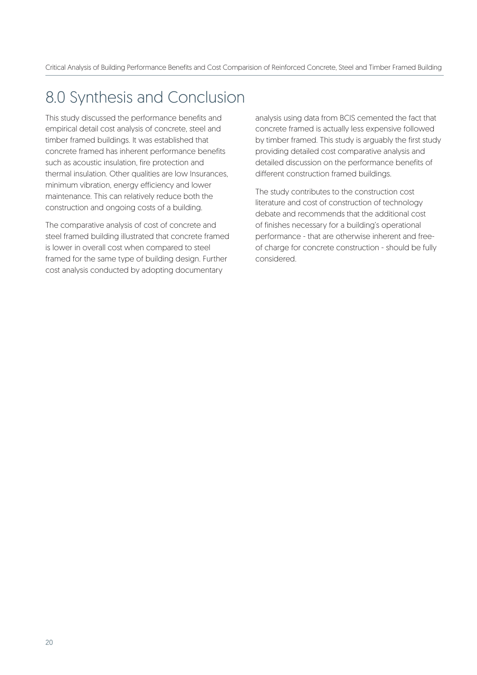# 8.0 Synthesis and Conclusion

This study discussed the performance benefits and empirical detail cost analysis of concrete, steel and timber framed buildings. It was established that concrete framed has inherent performance benefits such as acoustic insulation, fire protection and thermal insulation. Other qualities are low Insurances, minimum vibration, energy efficiency and lower maintenance. This can relatively reduce both the construction and ongoing costs of a building.

The comparative analysis of cost of concrete and steel framed building illustrated that concrete framed is lower in overall cost when compared to steel framed for the same type of building design. Further cost analysis conducted by adopting documentary

analysis using data from BCIS cemented the fact that concrete framed is actually less expensive followed by timber framed. This study is arguably the first study providing detailed cost comparative analysis and detailed discussion on the performance benefits of different construction framed buildings.

The study contributes to the construction cost literature and cost of construction of technology debate and recommends that the additional cost of finishes necessary for a building's operational performance - that are otherwise inherent and freeof charge for concrete construction - should be fully considered.